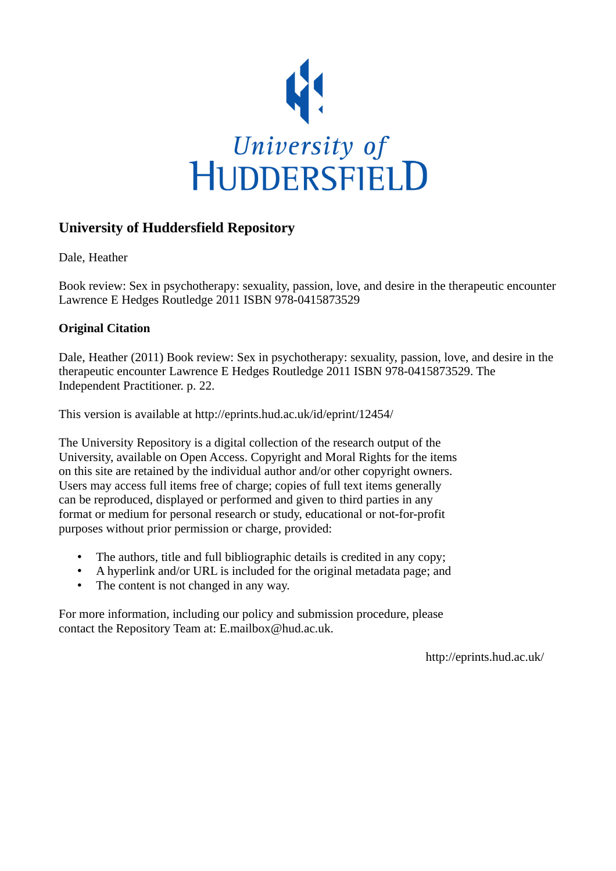

## **University of Huddersfield Repository**

Dale, Heather

Book review: Sex in psychotherapy: sexuality, passion, love, and desire in the therapeutic encounter Lawrence E Hedges Routledge 2011 ISBN 978-0415873529

### **Original Citation**

Dale, Heather (2011) Book review: Sex in psychotherapy: sexuality, passion, love, and desire in the therapeutic encounter Lawrence E Hedges Routledge 2011 ISBN 978-0415873529. The Independent Practitioner. p. 22.

This version is available at http://eprints.hud.ac.uk/id/eprint/12454/

The University Repository is a digital collection of the research output of the University, available on Open Access. Copyright and Moral Rights for the items on this site are retained by the individual author and/or other copyright owners. Users may access full items free of charge; copies of full text items generally can be reproduced, displayed or performed and given to third parties in any format or medium for personal research or study, educational or not-for-profit purposes without prior permission or charge, provided:

- The authors, title and full bibliographic details is credited in any copy;
- A hyperlink and/or URL is included for the original metadata page; and
- The content is not changed in any way.

For more information, including our policy and submission procedure, please contact the Repository Team at: E.mailbox@hud.ac.uk.

http://eprints.hud.ac.uk/